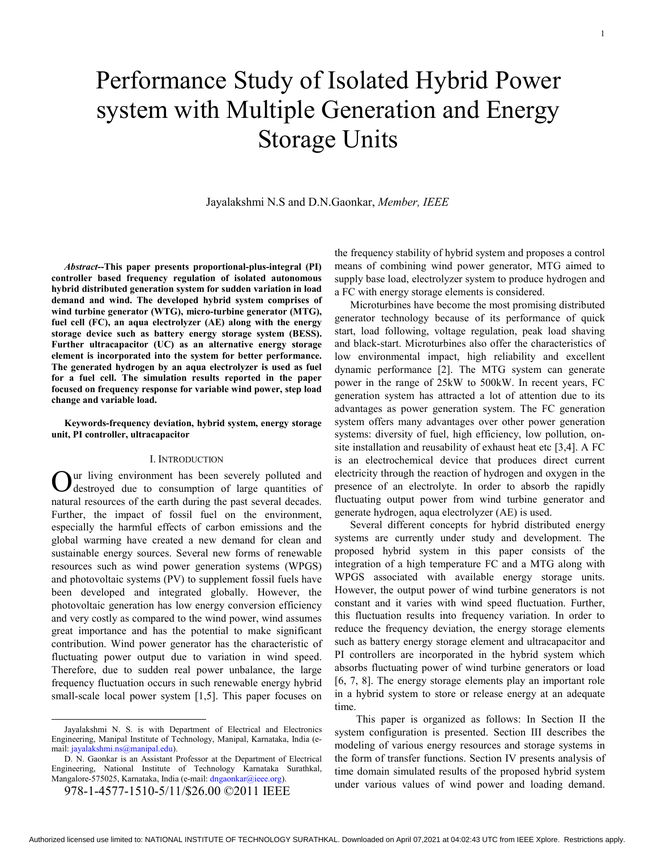# Performance Study of Isolated Hybrid Power system with Multiple Generation and Energy Storage Units

Jayalakshmi N.S and D.N.Gaonkar, *Member, IEEE*

*Abstract***--This paper presents proportional-plus-integral (PI) controller based frequency regulation of isolated autonomous hybrid distributed generation system for sudden variation in load demand and wind. The developed hybrid system comprises of wind turbine generator (WTG), micro-turbine generator (MTG), fuel cell (FC), an aqua electrolyzer (AE) along with the energy storage device such as battery energy storage system (BESS). Further ultracapacitor (UC) as an alternative energy storage element is incorporated into the system for better performance. The generated hydrogen by an aqua electrolyzer is used as fuel for a fuel cell. The simulation results reported in the paper focused on frequency response for variable wind power, step load change and variable load.** 

## **Keywords-frequency deviation, hybrid system, energy storage unit, PI controller, ultracapacitor**

#### I. INTRODUCTION

ur living environment has been severely polluted and destroyed due to consumption of large quantities of natural resources of the earth during the past several decades. Further, the impact of fossil fuel on the environment, especially the harmful effects of carbon emissions and the global warming have created a new demand for clean and sustainable energy sources. Several new forms of renewable resources such as wind power generation systems (WPGS) and photovoltaic systems (PV) to supplement fossil fuels have been developed and integrated globally. However, the photovoltaic generation has low energy conversion efficiency and very costly as compared to the wind power, wind assumes great importance and has the potential to make significant contribution. Wind power generator has the characteristic of fluctuating power output due to variation in wind speed. Therefore, due to sudden real power unbalance, the large frequency fluctuation occurs in such renewable energy hybrid small-scale local power system [1,5]. This paper focuses on O

the frequency stability of hybrid system and proposes a control means of combining wind power generator, MTG aimed to supply base load, electrolyzer system to produce hydrogen and a FC with energy storage elements is considered.

 Microturbines have become the most promising distributed generator technology because of its performance of quick start, load following, voltage regulation, peak load shaving and black-start. Microturbines also offer the characteristics of low environmental impact, high reliability and excellent dynamic performance [2]. The MTG system can generate power in the range of 25kW to 500kW. In recent years, FC generation system has attracted a lot of attention due to its advantages as power generation system. The FC generation system offers many advantages over other power generation systems: diversity of fuel, high efficiency, low pollution, onsite installation and reusability of exhaust heat etc [3,4]. A FC is an electrochemical device that produces direct current electricity through the reaction of hydrogen and oxygen in the presence of an electrolyte. In order to absorb the rapidly fluctuating output power from wind turbine generator and generate hydrogen, aqua electrolyzer (AE) is used.

 Several different concepts for hybrid distributed energy systems are currently under study and development. The proposed hybrid system in this paper consists of the integration of a high temperature FC and a MTG along with WPGS associated with available energy storage units. However, the output power of wind turbine generators is not constant and it varies with wind speed fluctuation. Further, this fluctuation results into frequency variation. In order to reduce the frequency deviation, the energy storage elements such as battery energy storage element and ultracapacitor and PI controllers are incorporated in the hybrid system which absorbs fluctuating power of wind turbine generators or load [6, 7, 8]. The energy storage elements play an important role in a hybrid system to store or release energy at an adequate time.

 This paper is organized as follows: In Section II the system configuration is presented. Section III describes the modeling of various energy resources and storage systems in the form of transfer functions. Section IV presents analysis of time domain simulated results of the proposed hybrid system under various values of wind power and loading demand.

Jayalakshmi N. S. is with Department of Electrical and Electronics Engineering, Manipal Institute of Technology, Manipal, Karnataka, India (email: jayalakshmi.ns@manipal.edu).

D. N. Gaonkar is an Assistant Professor at the Department of Electrical Engineering, National Institute of Technology Karnataka Surathkal, Mangalore-575025, Karnataka, India (e-mail: dngaonkar@ieee.org).

 <sup>978-1-4577-1510-5/11/\$26.00 ©2011</sup> IEEE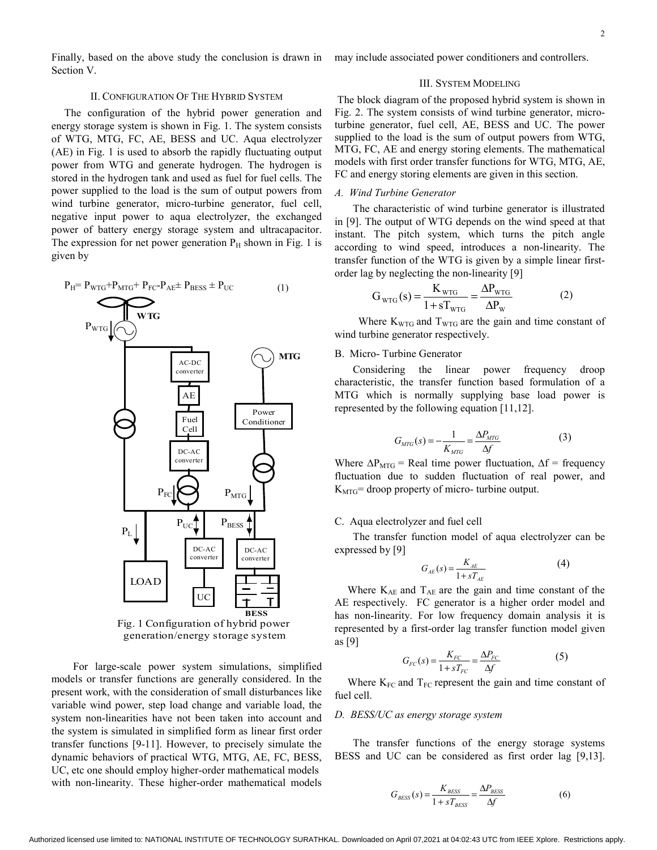Finally, based on the above study the conclusion is drawn in Section V.

## II. CONFIGURATION OF THE HYBRID SYSTEM

The configuration of the hybrid power generation and energy storage system is shown in Fig. 1. The system consists of WTG, MTG, FC, AE, BESS and UC. Aqua electrolyzer (AE) in Fig. 1 is used to absorb the rapidly fluctuating output power from WTG and generate hydrogen. The hydrogen is stored in the hydrogen tank and used as fuel for fuel cells. The power supplied to the load is the sum of output powers from wind turbine generator, micro-turbine generator, fuel cell, negative input power to aqua electrolyzer, the exchanged power of battery energy storage system and ultracapacitor. The expression for net power generation  $P_H$  shown in Fig. 1 is given by



Fig. 1 Configuration of hybrid power generation/energy storage system

 For large-scale power system simulations, simplified models or transfer functions are generally considered. In the present work, with the consideration of small disturbances like variable wind power, step load change and variable load, the system non-linearities have not been taken into account and the system is simulated in simplified form as linear first order transfer functions [9-11]. However, to precisely simulate the dynamic behaviors of practical WTG, MTG, AE, FC, BESS, UC, etc one should employ higher-order mathematical models with non-linearity. These higher-order mathematical models

may include associated power conditioners and controllers.

#### III. SYSTEM MODELING

 The block diagram of the proposed hybrid system is shown in Fig. 2. The system consists of wind turbine generator, microturbine generator, fuel cell, AE, BESS and UC. The power supplied to the load is the sum of output powers from WTG, MTG, FC, AE and energy storing elements. The mathematical models with first order transfer functions for WTG, MTG, AE, FC and energy storing elements are given in this section.

## *A. Wind Turbine Generator*

 The characteristic of wind turbine generator is illustrated in [9]. The output of WTG depends on the wind speed at that instant. The pitch system, which turns the pitch angle according to wind speed, introduces a non-linearity. The transfer function of the WTG is given by a simple linear firstorder lag by neglecting the non-linearity [9]

$$
G_{\text{WTG}}(s) = \frac{K_{\text{WTG}}}{1 + sT_{\text{WTG}}} = \frac{\Delta P_{\text{WTG}}}{\Delta P_{\text{W}}}
$$
(2)

Where  $K_{\text{WTG}}$  and  $T_{\text{WTG}}$  are the gain and time constant of wind turbine generator respectively.

# B. Micro- Turbine Generator

 Considering the linear power frequency droop characteristic, the transfer function based formulation of a MTG which is normally supplying base load power is represented by the following equation [11,12].

$$
G_{MTG}(s) = -\frac{1}{K_{MTG}} = \frac{\Delta P_{MTG}}{\Delta f}
$$
 (3)

Where  $\Delta P_{\text{MTG}}$  = Real time power fluctuation,  $\Delta f$  = frequency fluctuation due to sudden fluctuation of real power, and  $K<sub>MTG</sub>$  droop property of micro- turbine output.

## C. Aqua electrolyzer and fuel cell

 The transfer function model of aqua electrolyzer can be expressed by [9]

$$
G_{AE}(s) = \frac{K_{AE}}{1 + sT_{AE}}
$$
 (4)

Where  $K_{AE}$  and  $T_{AE}$  are the gain and time constant of the AE respectively. FC generator is a higher order model and has non-linearity. For low frequency domain analysis it is represented by a first-order lag transfer function model given as [9]

$$
G_{FC}(s) = \frac{K_{FC}}{1 + sT_{FC}} = \frac{\Delta P_{FC}}{\Delta f}
$$
 (5)

Where  $K_{FC}$  and  $T_{FC}$  represent the gain and time constant of fuel cell.

## *D. BESS/UC as energy storage system*

 The transfer functions of the energy storage systems BESS and UC can be considered as first order lag [9,13].

$$
G_{BESS}(s) = \frac{K_{BESS}}{1 + sT_{BESS}} = \frac{\Delta P_{BESS}}{\Delta f}
$$
(6)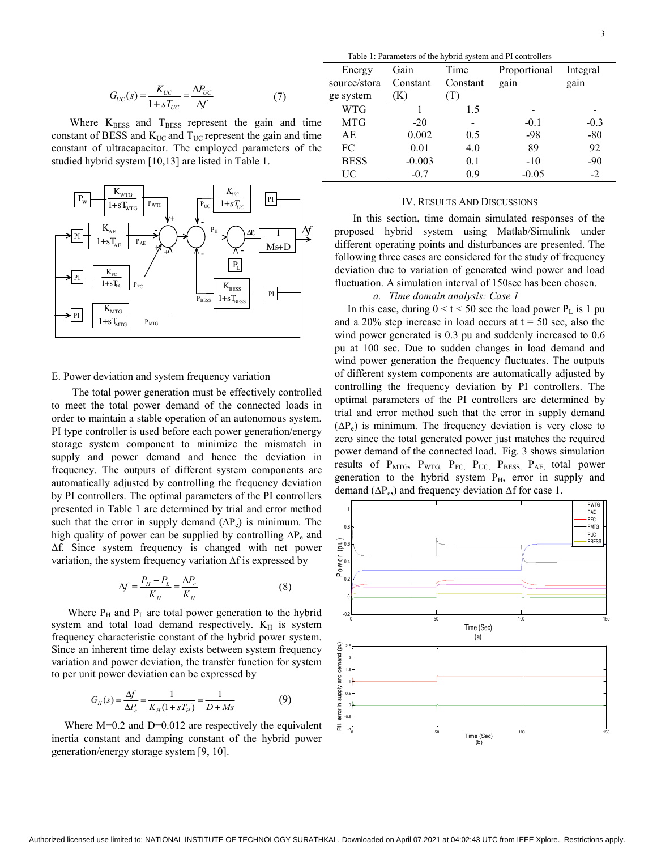Table 1: Parameters of the hybrid system and PI controllers

$$
G_{UC}(s) = \frac{K_{UC}}{1 + sT_{UC}} = \frac{\Delta P_{UC}}{\Delta f}
$$
 (7)

Where  $K<sub>BESS</sub>$  and  $T<sub>BESS</sub>$  represent the gain and time constant of BESS and  $K_{\text{UC}}$  and  $T_{\text{UC}}$  represent the gain and time constant of ultracapacitor. The employed parameters of the studied hybrid system [10,13] are listed in Table 1.



## E. Power deviation and system frequency variation

 The total power generation must be effectively controlled to meet the total power demand of the connected loads in order to maintain a stable operation of an autonomous system. PI type controller is used before each power generation/energy storage system component to minimize the mismatch in supply and power demand and hence the deviation in frequency. The outputs of different system components are automatically adjusted by controlling the frequency deviation by PI controllers. The optimal parameters of the PI controllers presented in Table 1 are determined by trial and error method such that the error in supply demand  $(\Delta P_e)$  is minimum. The high quality of power can be supplied by controlling  $\Delta P_e$  and ∆f. Since system frequency is changed with net power variation, the system frequency variation ∆f is expressed by

$$
\Delta f = \frac{P_H - P_L}{K_H} = \frac{\Delta P_e}{K_H} \tag{8}
$$

Where  $P_H$  and  $P_L$  are total power generation to the hybrid system and total load demand respectively.  $K_H$  is system frequency characteristic constant of the hybrid power system. Since an inherent time delay exists between system frequency variation and power deviation, the transfer function for system to per unit power deviation can be expressed by

$$
G_H(s) = \frac{\Delta f}{\Delta P_e} = \frac{1}{K_H(1 + sT_H)} = \frac{1}{D + Ms} \tag{9}
$$

Where M=0.2 and D=0.012 are respectively the equivalent inertia constant and damping constant of the hybrid power generation/energy storage system [9, 10].

| Table 1. Parameters of the hybrid system and PT controllers |          |          |              |          |
|-------------------------------------------------------------|----------|----------|--------------|----------|
| Energy                                                      | Gain     | Time     | Proportional | Integral |
| source/stora                                                | Constant | Constant | gain         | gain     |
| ge system                                                   | K)       |          |              |          |
| <b>WTG</b>                                                  |          | 1.5      |              |          |
| <b>MTG</b>                                                  | $-20$    |          | $-0.1$       | $-0.3$   |
| AE                                                          | 0.002    | 0.5      | $-98$        | $-80$    |
| FC                                                          | 0.01     | 4.0      | 89           | 92       |
| <b>BESS</b>                                                 | $-0.003$ | 0.1      | $-10$        | $-90$    |
| UC                                                          | $-0.7$   | 0.9      | $-0.05$      | $-2$     |

## IV. RESULTS AND DISCUSSIONS

 In this section, time domain simulated responses of the proposed hybrid system using Matlab/Simulink under different operating points and disturbances are presented. The following three cases are considered for the study of frequency deviation due to variation of generated wind power and load fluctuation. A simulation interval of 150sec has been chosen.

## *a. Time domain analysis: Case 1*

In this case, during  $0 < t < 50$  sec the load power  $P_L$  is 1 pu and a 20% step increase in load occurs at  $t = 50$  sec, also the wind power generated is 0.3 pu and suddenly increased to 0.6 pu at 100 sec. Due to sudden changes in load demand and wind power generation the frequency fluctuates. The outputs of different system components are automatically adjusted by controlling the frequency deviation by PI controllers. The optimal parameters of the PI controllers are determined by trial and error method such that the error in supply demand  $(\Delta P_e)$  is minimum. The frequency deviation is very close to zero since the total generated power just matches the required power demand of the connected load. Fig. 3 shows simulation results of  $P_{MTG}$ ,  $P_{WTG}$ ,  $P_{FC}$ ,  $P_{UC}$ ,  $P_{BESS}$ ,  $P_{AE}$ , total power generation to the hybrid system  $P_H$ , error in supply and demand ( $\Delta P_e$ ) and frequency deviation  $\Delta f$  for case 1.

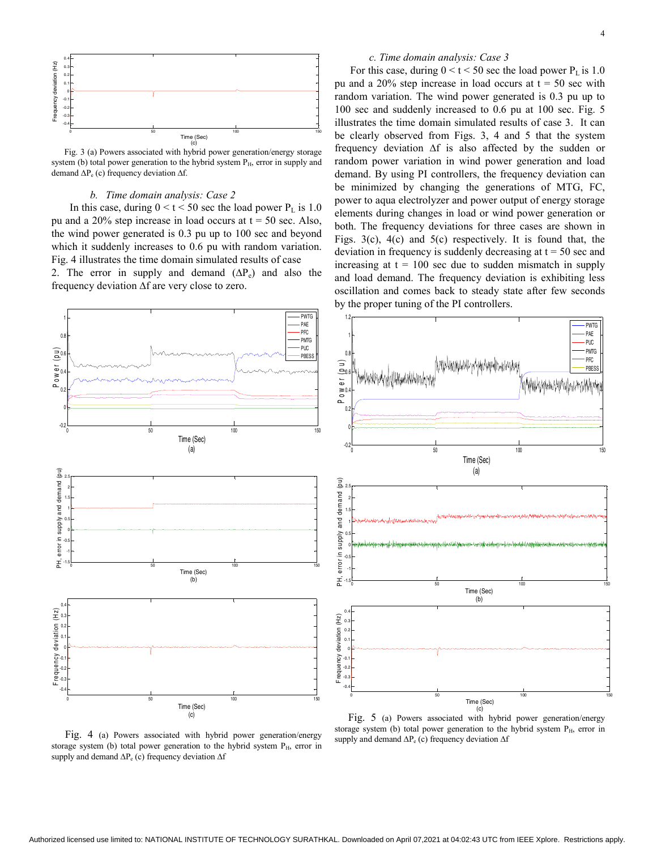

Fig. 3 (a) Powers associated with hybrid power generation/energy storage system (b) total power generation to the hybrid system  $P<sub>H</sub>$ , error in supply and demand ∆Pe (c) frequency deviation ∆f.

#### *b. Time domain analysis: Case 2*

In this case, during  $0 < t < 50$  sec the load power  $P_L$  is 1.0 pu and a 20% step increase in load occurs at  $t = 50$  sec. Also, the wind power generated is 0.3 pu up to 100 sec and beyond which it suddenly increases to 0.6 pu with random variation. Fig. 4 illustrates the time domain simulated results of case

2. The error in supply and demand  $(\Delta P_e)$  and also the frequency deviation ∆f are very close to zero.

## *c. Time domain analysis: Case 3*

For this case, during  $0 < t < 50$  sec the load power  $P<sub>L</sub>$  is 1.0 pu and a 20% step increase in load occurs at  $t = 50$  sec with random variation. The wind power generated is 0.3 pu up to 100 sec and suddenly increased to 0.6 pu at 100 sec. Fig. 5 illustrates the time domain simulated results of case 3. It can be clearly observed from Figs. 3, 4 and 5 that the system frequency deviation ∆f is also affected by the sudden or random power variation in wind power generation and load demand. By using PI controllers, the frequency deviation can be minimized by changing the generations of MTG, FC, power to aqua electrolyzer and power output of energy storage elements during changes in load or wind power generation or both. The frequency deviations for three cases are shown in Figs.  $3(c)$ ,  $4(c)$  and  $5(c)$  respectively. It is found that, the deviation in frequency is suddenly decreasing at  $t = 50$  sec and increasing at  $t = 100$  sec due to sudden mismatch in supply and load demand. The frequency deviation is exhibiting less oscillation and comes back to steady state after few seconds by the proper tuning of the PI controllers.





 Fig. 5 (a) Powers associated with hybrid power generation/energy storage system (b) total power generation to the hybrid system  $P_{H_2}$  error in supply and demand ∆P<sub>e</sub> (c) frequency deviation ∆f

 Fig. 4 (a) Powers associated with hybrid power generation/energy storage system (b) total power generation to the hybrid system  $P_{H}$ , error in supply and demand  $\Delta P_e$  (c) frequency deviation  $\Delta f$